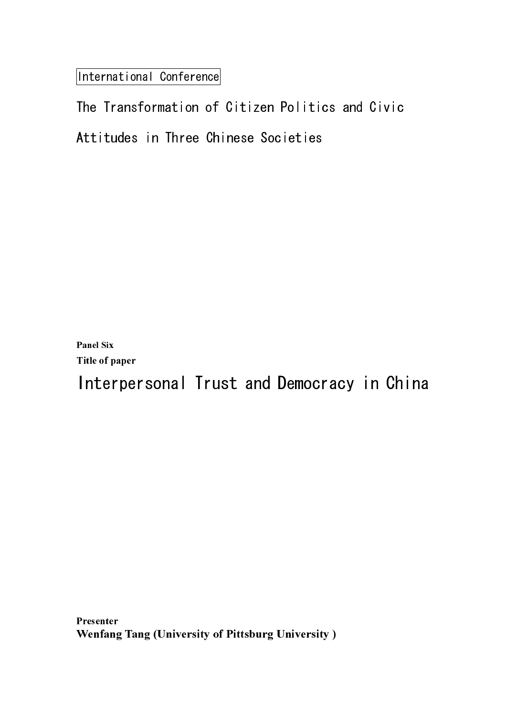International Conference

Panel Six Title of paper

Interpersonal Trust and Democracy in China

Presenter I Itsthiti<br>W Wenfang Tang (University of Pittsburg University )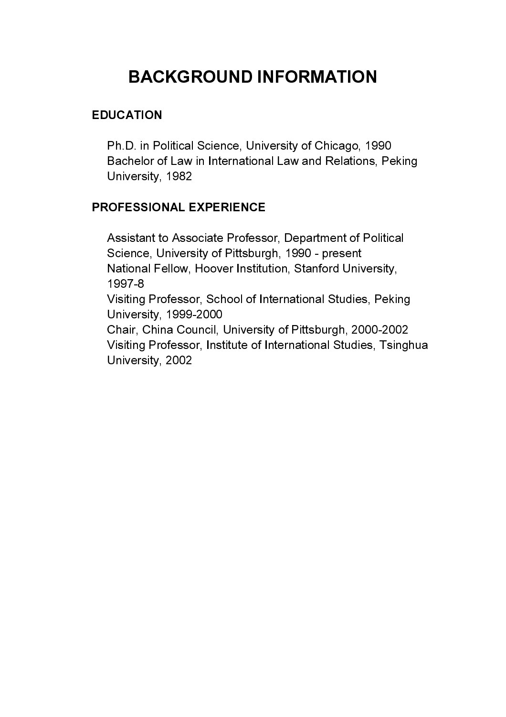Ph.D. in Political Science, University of Chicago, 1990 Bachelor of Law in International Law and Relations, Peking University, 1982

**ATION**<br>
D. in Political Science, University of Chicago, 195<br>
helor of Law in International Law and Relations,<br>
rersity, 1982<br>
ESSIONAL EXPERIENCE<br>
Istant to Associate Professor, Department of Political<br>
mene, University o EDUCATION<br>
Ph.D. in Pc<br>
Bachelor of<br>
University,<br>
PROFESSION<br>
Assistant tc<br>
Science, U<br>
National Fe<br>
1997-8<br>
Visiting Prc<br>
University,<br>
Chair, Chin<br>
Visiting Prc<br>
University, FEU いっ メミリン へしくし PROFESSIONAL EXPERIENCE<br>Assistant to Associate Professe<br>Science, University of Pittsburg<br>National Fellow, Hoover Institu<br>1997-8<br>Visiting Professor, School of In<br>University, 1999-2000<br>Chair, China Council, Universit<br>Visitin Assistant to Associate Professor, Department of Political Science, University of Pittsburgh, 1990 - present National Fellow, Hoover Institution, Stanford University, 1997-8

 Visiting Professor, School of International Studies, Peking University, 1999-2000

 Chair, China Council, University of Pittsburgh, 2000-2002 Visiting Professor, Institute of International Studies, Tsinghua University, 2002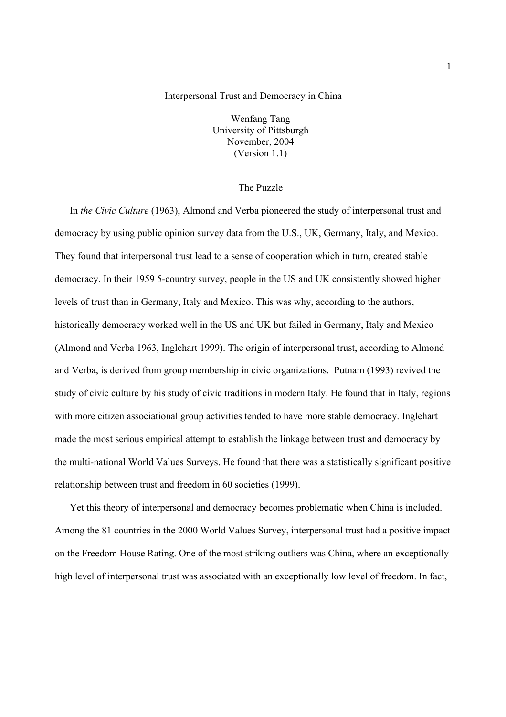## Interpersonal Trust and Democracy in China

Wenfang Tang University of Pittsburgh November, 2004 (Version 1.1)

# The Puzzle

In *the Civic Culture* (1963), Almond and Verba pioneered the study of interpersonal trust and democracy by using public opinion survey data from the U.S., UK, Germany, Italy, and Mexico. They found that interpersonal trust lead to a sense of cooperation which in turn, created stable democracy. In their 1959 5-country survey, people in the US and UK consistently showed higher levels of trust than in Germany, Italy and Mexico. This was why, according to the authors, historically democracy worked well in the US and UK but failed in Germany, Italy and Mexico (Almond and Verba 1963, Inglehart 1999). The origin of interpersonal trust, according to Almond and Verba, is derived from group membership in civic organizations. Putnam (1993) revived the study of civic culture by his study of civic traditions in modern Italy. He found that in Italy, regions with more citizen associational group activities tended to have more stable democracy. Inglehart made the most serious empirical attempt to establish the linkage between trust and democracy by the multi-national World Values Surveys. He found that there was a statistically significant positive relationship between trust and freedom in 60 societies (1999).

Yet this theory of interpersonal and democracy becomes problematic when China is included. Among the 81 countries in the 2000 World Values Survey, interpersonal trust had a positive impact on the Freedom House Rating. One of the most striking outliers was China, where an exceptionally high level of interpersonal trust was associated with an exceptionally low level of freedom. In fact,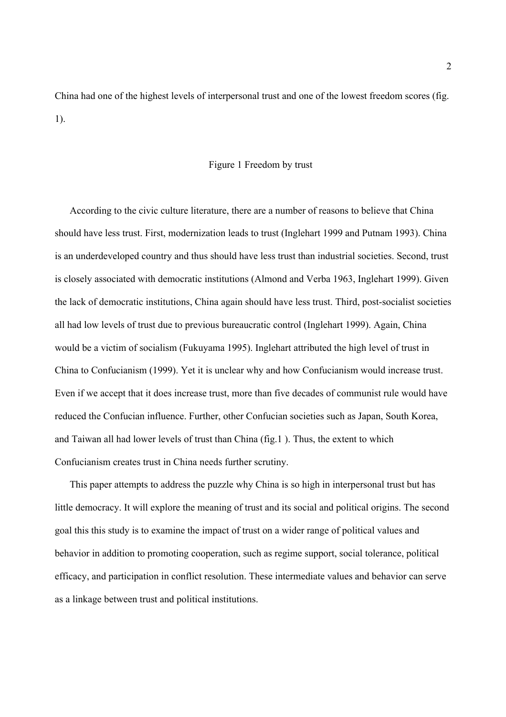China had one of the highest levels of interpersonal trust and one of the lowest freedom scores (fig. 1).

## Figure 1 Freedom by trust

According to the civic culture literature, there are a number of reasons to believe that China should have less trust. First, modernization leads to trust (Inglehart 1999 and Putnam 1993). China is an underdeveloped country and thus should have less trust than industrial societies. Second, trust is closely associated with democratic institutions (Almond and Verba 1963, Inglehart 1999). Given the lack of democratic institutions, China again should have less trust. Third, post-socialist societies all had low levels of trust due to previous bureaucratic control (Inglehart 1999). Again, China would be a victim of socialism (Fukuyama 1995). Inglehart attributed the high level of trust in China to Confucianism (1999). Yet it is unclear why and how Confucianism would increase trust. Even if we accept that it does increase trust, more than five decades of communist rule would have reduced the Confucian influence. Further, other Confucian societies such as Japan, South Korea, and Taiwan all had lower levels of trust than China (fig.1 ). Thus, the extent to which Confucianism creates trust in China needs further scrutiny.

This paper attempts to address the puzzle why China is so high in interpersonal trust but has little democracy. It will explore the meaning of trust and its social and political origins. The second goal this this study is to examine the impact of trust on a wider range of political values and behavior in addition to promoting cooperation, such as regime support, social tolerance, political efficacy, and participation in conflict resolution. These intermediate values and behavior can serve as a linkage between trust and political institutions.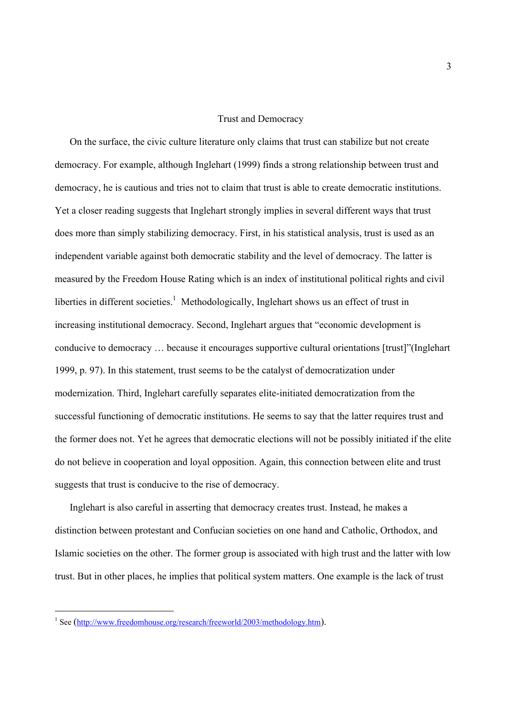## Trust and Democracy

On the surface, the civic culture literature only claims that trust can stabilize but not create democracy. For example, although Inglehart (1999) finds a strong relationship between trust and democracy, he is cautious and tries not to claim that trust is able to create democratic institutions. Yet a closer reading suggests that Inglehart strongly implies in several different ways that trust does more than simply stabilizing democracy. First, in his statistical analysis, trust is used as an independent variable against both democratic stability and the level of democracy. The latter is measured by the Freedom House Rating which is an index of institutional political rights and civil liberties in different societies.<sup>1</sup> Methodologically, Inglehart shows us an effect of trust in increasing institutional democracy. Second, Inglehart argues that "economic development is conducive to democracy … because it encourages supportive cultural orientations [trust]"(Inglehart 1999, p. 97). In this statement, trust seems to be the catalyst of democratization under modernization. Third, Inglehart carefully separates elite-initiated democratization from the successful functioning of democratic institutions. He seems to say that the latter requires trust and the former does not. Yet he agrees that democratic elections will not be possibly initiated if the elite do not believe in cooperation and loyal opposition. Again, this connection between elite and trust suggests that trust is conducive to the rise of democracy.

Inglehart is also careful in asserting that democracy creates trust. Instead, he makes a distinction between protestant and Confucian societies on one hand and Catholic, Orthodox, and Islamic societies on the other. The former group is associated with high trust and the latter with low trust. But in other places, he implies that political system matters. One example is the lack of trust

 $\overline{a}$ 

<sup>&</sup>lt;sup>1</sup> See (http://www.freedomhouse.org/research/freeworld/2003/methodology.htm).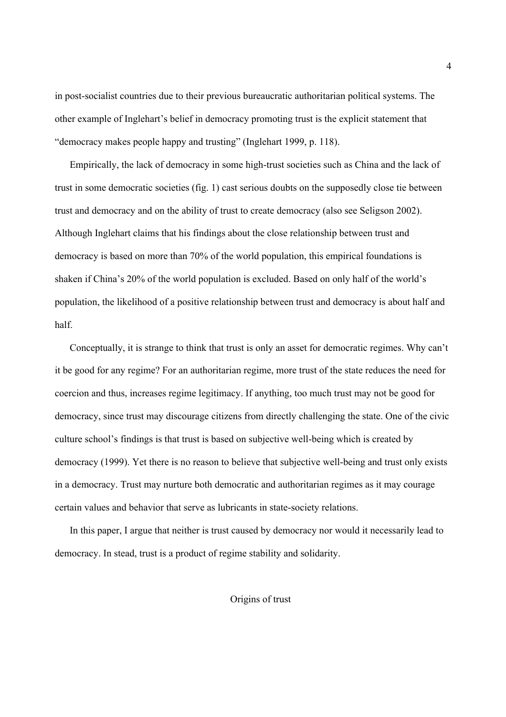in post-socialist countries due to their previous bureaucratic authoritarian political systems. The other example of Inglehart's belief in democracy promoting trust is the explicit statement that "democracy makes people happy and trusting" (Inglehart 1999, p. 118).

Empirically, the lack of democracy in some high-trust societies such as China and the lack of trust in some democratic societies (fig. 1) cast serious doubts on the supposedly close tie between trust and democracy and on the ability of trust to create democracy (also see Seligson 2002). Although Inglehart claims that his findings about the close relationship between trust and democracy is based on more than 70% of the world population, this empirical foundations is shaken if China's 20% of the world population is excluded. Based on only half of the world's population, the likelihood of a positive relationship between trust and democracy is about half and half.

Conceptually, it is strange to think that trust is only an asset for democratic regimes. Why can't it be good for any regime? For an authoritarian regime, more trust of the state reduces the need for coercion and thus, increases regime legitimacy. If anything, too much trust may not be good for democracy, since trust may discourage citizens from directly challenging the state. One of the civic culture school's findings is that trust is based on subjective well-being which is created by democracy (1999). Yet there is no reason to believe that subjective well-being and trust only exists in a democracy. Trust may nurture both democratic and authoritarian regimes as it may courage certain values and behavior that serve as lubricants in state-society relations.

In this paper, I argue that neither is trust caused by democracy nor would it necessarily lead to democracy. In stead, trust is a product of regime stability and solidarity.

Origins of trust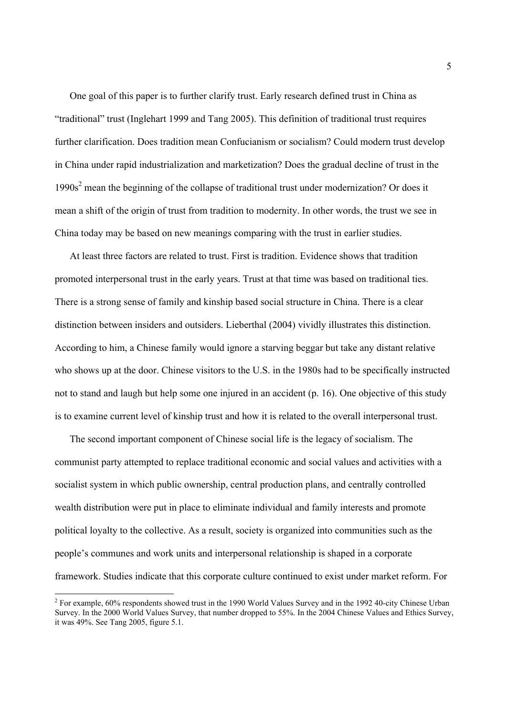One goal of this paper is to further clarify trust. Early research defined trust in China as "traditional" trust (Inglehart 1999 and Tang 2005). This definition of traditional trust requires further clarification. Does tradition mean Confucianism or socialism? Could modern trust develop in China under rapid industrialization and marketization? Does the gradual decline of trust in the 1990s<sup>2</sup> mean the beginning of the collapse of traditional trust under modernization? Or does it mean a shift of the origin of trust from tradition to modernity. In other words, the trust we see in China today may be based on new meanings comparing with the trust in earlier studies.

At least three factors are related to trust. First is tradition. Evidence shows that tradition promoted interpersonal trust in the early years. Trust at that time was based on traditional ties. There is a strong sense of family and kinship based social structure in China. There is a clear distinction between insiders and outsiders. Lieberthal (2004) vividly illustrates this distinction. According to him, a Chinese family would ignore a starving beggar but take any distant relative who shows up at the door. Chinese visitors to the U.S. in the 1980s had to be specifically instructed not to stand and laugh but help some one injured in an accident (p. 16). One objective of this study is to examine current level of kinship trust and how it is related to the overall interpersonal trust.

The second important component of Chinese social life is the legacy of socialism. The communist party attempted to replace traditional economic and social values and activities with a socialist system in which public ownership, central production plans, and centrally controlled wealth distribution were put in place to eliminate individual and family interests and promote political loyalty to the collective. As a result, society is organized into communities such as the people's communes and work units and interpersonal relationship is shaped in a corporate framework. Studies indicate that this corporate culture continued to exist under market reform. For

<sup>&</sup>lt;sup>2</sup> For example, 60% respondents showed trust in the 1990 World Values Survey and in the 1992 40-city Chinese Urban Survey. In the 2000 World Values Survey, that number dropped to 55%. In the 2004 Chinese Values and Ethics Survey, it was 49%. See Tang 2005, figure 5.1.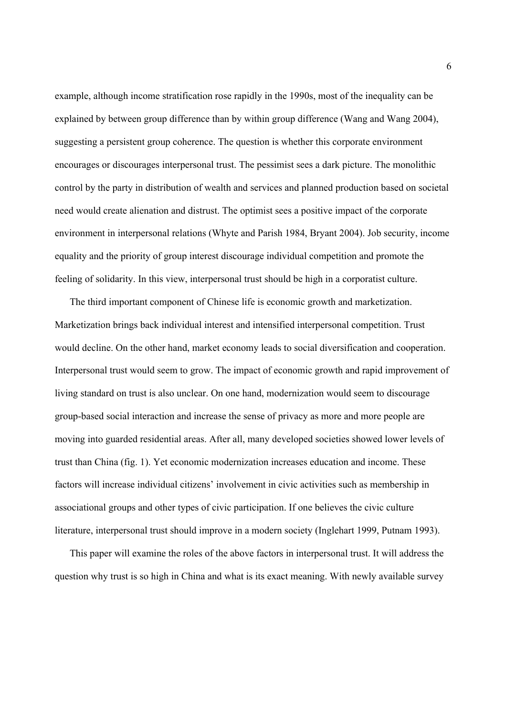example, although income stratification rose rapidly in the 1990s, most of the inequality can be explained by between group difference than by within group difference (Wang and Wang 2004), suggesting a persistent group coherence. The question is whether this corporate environment encourages or discourages interpersonal trust. The pessimist sees a dark picture. The monolithic control by the party in distribution of wealth and services and planned production based on societal need would create alienation and distrust. The optimist sees a positive impact of the corporate environment in interpersonal relations (Whyte and Parish 1984, Bryant 2004). Job security, income equality and the priority of group interest discourage individual competition and promote the feeling of solidarity. In this view, interpersonal trust should be high in a corporatist culture.

The third important component of Chinese life is economic growth and marketization. Marketization brings back individual interest and intensified interpersonal competition. Trust would decline. On the other hand, market economy leads to social diversification and cooperation. Interpersonal trust would seem to grow. The impact of economic growth and rapid improvement of living standard on trust is also unclear. On one hand, modernization would seem to discourage group-based social interaction and increase the sense of privacy as more and more people are moving into guarded residential areas. After all, many developed societies showed lower levels of trust than China (fig. 1). Yet economic modernization increases education and income. These factors will increase individual citizens' involvement in civic activities such as membership in associational groups and other types of civic participation. If one believes the civic culture literature, interpersonal trust should improve in a modern society (Inglehart 1999, Putnam 1993).

This paper will examine the roles of the above factors in interpersonal trust. It will address the question why trust is so high in China and what is its exact meaning. With newly available survey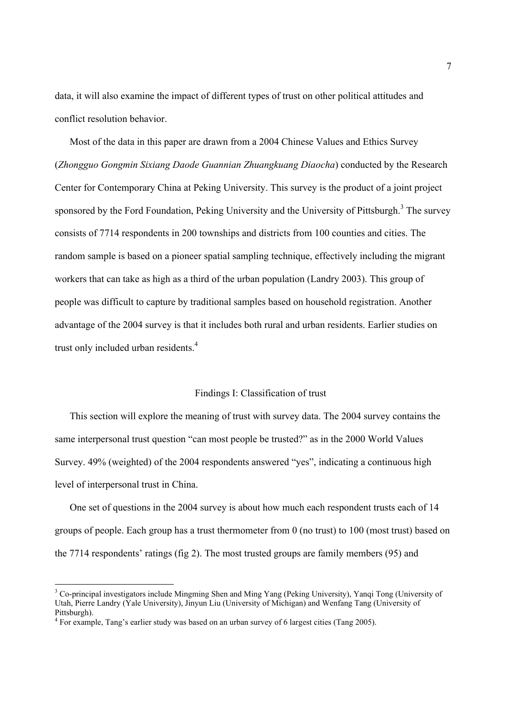data, it will also examine the impact of different types of trust on other political attitudes and conflict resolution behavior.

Most of the data in this paper are drawn from a 2004 Chinese Values and Ethics Survey (*Zhongguo Gongmin Sixiang Daode Guannian Zhuangkuang Diaocha*) conducted by the Research Center for Contemporary China at Peking University. This survey is the product of a joint project sponsored by the Ford Foundation, Peking University and the University of Pittsburgh.<sup>3</sup> The survey consists of 7714 respondents in 200 townships and districts from 100 counties and cities. The random sample is based on a pioneer spatial sampling technique, effectively including the migrant workers that can take as high as a third of the urban population (Landry 2003). This group of people was difficult to capture by traditional samples based on household registration. Another advantage of the 2004 survey is that it includes both rural and urban residents. Earlier studies on trust only included urban residents.<sup>4</sup>

## Findings I: Classification of trust

This section will explore the meaning of trust with survey data. The 2004 survey contains the same interpersonal trust question "can most people be trusted?" as in the 2000 World Values Survey. 49% (weighted) of the 2004 respondents answered "yes", indicating a continuous high level of interpersonal trust in China.

One set of questions in the 2004 survey is about how much each respondent trusts each of 14 groups of people. Each group has a trust thermometer from 0 (no trust) to 100 (most trust) based on the 7714 respondents' ratings (fig 2). The most trusted groups are family members (95) and

 $\overline{a}$ 

<sup>&</sup>lt;sup>3</sup> Co-principal investigators include Mingming Shen and Ming Yang (Peking University), Yanqi Tong (University of Utah, Pierre Landry (Yale University), Jinyun Liu (University of Michigan) and Wenfang Tang (University of Pittsburgh).

<sup>&</sup>lt;sup>4</sup> For example, Tang's earlier study was based on an urban survey of 6 largest cities (Tang 2005).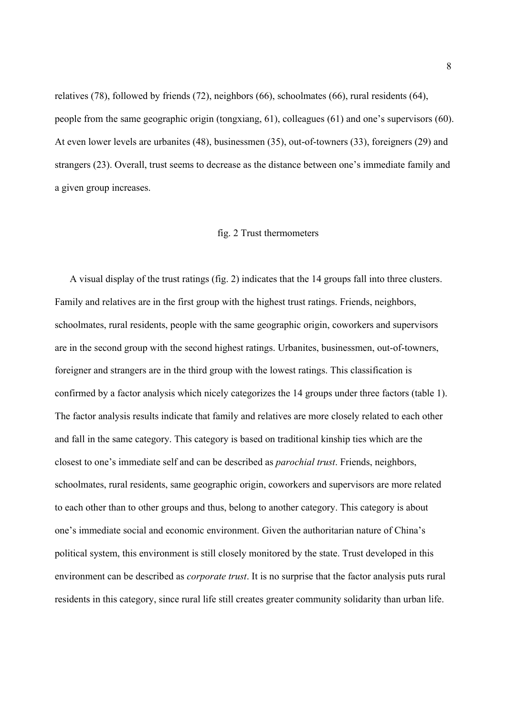relatives (78), followed by friends (72), neighbors (66), schoolmates (66), rural residents (64), people from the same geographic origin (tongxiang, 61), colleagues (61) and one's supervisors (60). At even lower levels are urbanites (48), businessmen (35), out-of-towners (33), foreigners (29) and strangers (23). Overall, trust seems to decrease as the distance between one's immediate family and a given group increases.

### fig. 2 Trust thermometers

A visual display of the trust ratings (fig. 2) indicates that the 14 groups fall into three clusters. Family and relatives are in the first group with the highest trust ratings. Friends, neighbors, schoolmates, rural residents, people with the same geographic origin, coworkers and supervisors are in the second group with the second highest ratings. Urbanites, businessmen, out-of-towners, foreigner and strangers are in the third group with the lowest ratings. This classification is confirmed by a factor analysis which nicely categorizes the 14 groups under three factors (table 1). The factor analysis results indicate that family and relatives are more closely related to each other and fall in the same category. This category is based on traditional kinship ties which are the closest to one's immediate self and can be described as *parochial trust*. Friends, neighbors, schoolmates, rural residents, same geographic origin, coworkers and supervisors are more related to each other than to other groups and thus, belong to another category. This category is about one's immediate social and economic environment. Given the authoritarian nature of China's political system, this environment is still closely monitored by the state. Trust developed in this environment can be described as *corporate trust*. It is no surprise that the factor analysis puts rural residents in this category, since rural life still creates greater community solidarity than urban life.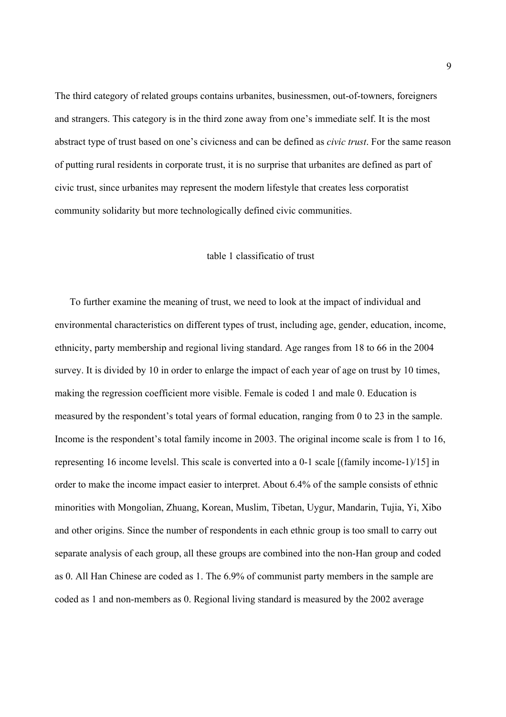The third category of related groups contains urbanites, businessmen, out-of-towners, foreigners and strangers. This category is in the third zone away from one's immediate self. It is the most abstract type of trust based on one's civicness and can be defined as *civic trust*. For the same reason of putting rural residents in corporate trust, it is no surprise that urbanites are defined as part of civic trust, since urbanites may represent the modern lifestyle that creates less corporatist community solidarity but more technologically defined civic communities.

## table 1 classificatio of trust

To further examine the meaning of trust, we need to look at the impact of individual and environmental characteristics on different types of trust, including age, gender, education, income, ethnicity, party membership and regional living standard. Age ranges from 18 to 66 in the 2004 survey. It is divided by 10 in order to enlarge the impact of each year of age on trust by 10 times, making the regression coefficient more visible. Female is coded 1 and male 0. Education is measured by the respondent's total years of formal education, ranging from 0 to 23 in the sample. Income is the respondent's total family income in 2003. The original income scale is from 1 to 16, representing 16 income levelsl. This scale is converted into a 0-1 scale [(family income-1)/15] in order to make the income impact easier to interpret. About 6.4% of the sample consists of ethnic minorities with Mongolian, Zhuang, Korean, Muslim, Tibetan, Uygur, Mandarin, Tujia, Yi, Xibo and other origins. Since the number of respondents in each ethnic group is too small to carry out separate analysis of each group, all these groups are combined into the non-Han group and coded as 0. All Han Chinese are coded as 1. The 6.9% of communist party members in the sample are coded as 1 and non-members as 0. Regional living standard is measured by the 2002 average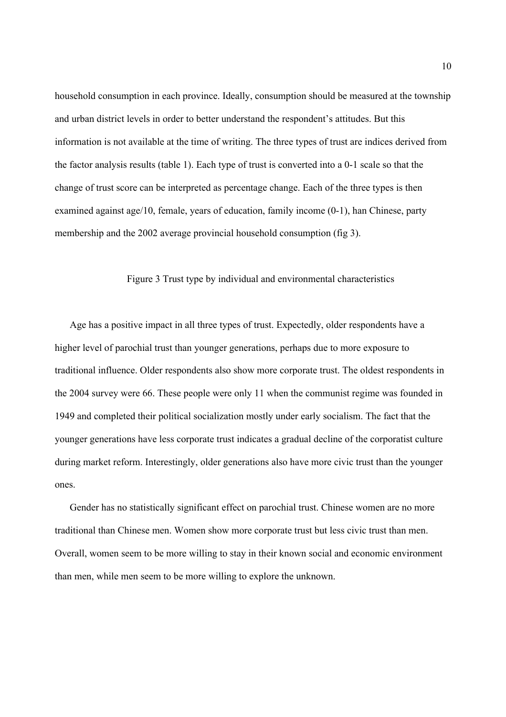household consumption in each province. Ideally, consumption should be measured at the township and urban district levels in order to better understand the respondent's attitudes. But this information is not available at the time of writing. The three types of trust are indices derived from the factor analysis results (table 1). Each type of trust is converted into a 0-1 scale so that the change of trust score can be interpreted as percentage change. Each of the three types is then examined against age/10, female, years of education, family income (0-1), han Chinese, party membership and the 2002 average provincial household consumption (fig 3).

### Figure 3 Trust type by individual and environmental characteristics

Age has a positive impact in all three types of trust. Expectedly, older respondents have a higher level of parochial trust than younger generations, perhaps due to more exposure to traditional influence. Older respondents also show more corporate trust. The oldest respondents in the 2004 survey were 66. These people were only 11 when the communist regime was founded in 1949 and completed their political socialization mostly under early socialism. The fact that the younger generations have less corporate trust indicates a gradual decline of the corporatist culture during market reform. Interestingly, older generations also have more civic trust than the younger ones.

Gender has no statistically significant effect on parochial trust. Chinese women are no more traditional than Chinese men. Women show more corporate trust but less civic trust than men. Overall, women seem to be more willing to stay in their known social and economic environment than men, while men seem to be more willing to explore the unknown.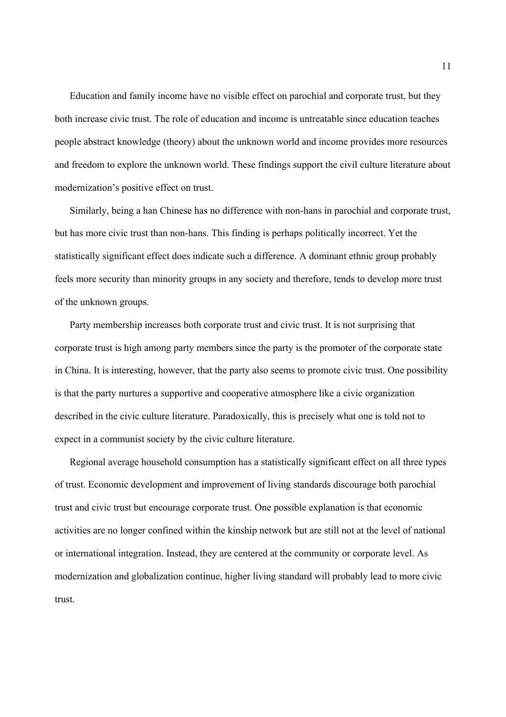Education and family income have no visible effect on parochial and corporate trust, but they both increase civic trust. The role of education and income is untreatable since education teaches people abstract knowledge (theory) about the unknown world and income provides more resources and freedom to explore the unknown world. These findings support the civil culture literature about modernization's positive effect on trust.

Similarly, being a han Chinese has no difference with non-hans in parochial and corporate trust, but has more civic trust than non-hans. This finding is perhaps politically incorrect. Yet the statistically significant effect does indicate such a difference. A dominant ethnic group probably feels more security than minority groups in any society and therefore, tends to develop more trust of the unknown groups.

Party membership increases both corporate trust and civic trust. It is not surprising that corporate trust is high among party members since the party is the promoter of the corporate state in China. It is interesting, however, that the party also seems to promote civic trust. One possibility is that the party nurtures a supportive and cooperative atmosphere like a civic organization described in the civic culture literature. Paradoxically, this is precisely what one is told not to expect in a communist society by the civic culture literature.

Regional average household consumption has a statistically significant effect on all three types of trust. Economic development and improvement of living standards discourage both parochial trust and civic trust but encourage corporate trust. One possible explanation is that economic activities are no longer confined within the kinship network but are still not at the level of national or international integration. Instead, they are centered at the community or corporate level. As modernization and globalization continue, higher living standard will probably lead to more civic trust.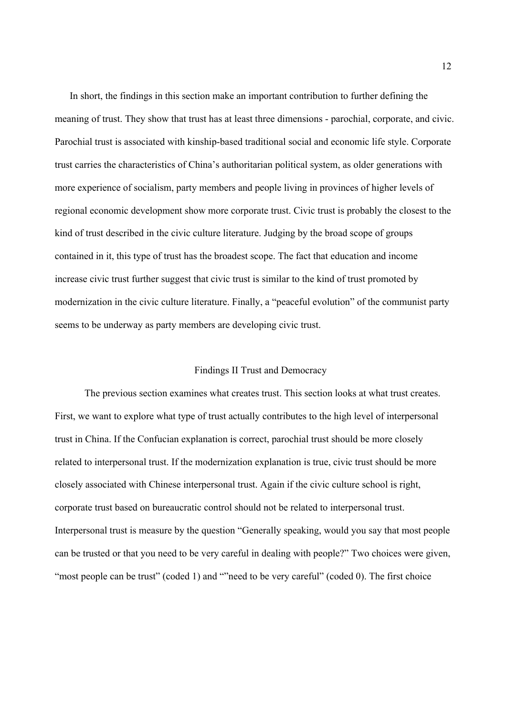In short, the findings in this section make an important contribution to further defining the meaning of trust. They show that trust has at least three dimensions - parochial, corporate, and civic. Parochial trust is associated with kinship-based traditional social and economic life style. Corporate trust carries the characteristics of China's authoritarian political system, as older generations with more experience of socialism, party members and people living in provinces of higher levels of regional economic development show more corporate trust. Civic trust is probably the closest to the kind of trust described in the civic culture literature. Judging by the broad scope of groups contained in it, this type of trust has the broadest scope. The fact that education and income increase civic trust further suggest that civic trust is similar to the kind of trust promoted by modernization in the civic culture literature. Finally, a "peaceful evolution" of the communist party seems to be underway as party members are developing civic trust.

## Findings II Trust and Democracy

 The previous section examines what creates trust. This section looks at what trust creates. First, we want to explore what type of trust actually contributes to the high level of interpersonal trust in China. If the Confucian explanation is correct, parochial trust should be more closely related to interpersonal trust. If the modernization explanation is true, civic trust should be more closely associated with Chinese interpersonal trust. Again if the civic culture school is right, corporate trust based on bureaucratic control should not be related to interpersonal trust. Interpersonal trust is measure by the question "Generally speaking, would you say that most people can be trusted or that you need to be very careful in dealing with people?" Two choices were given, "most people can be trust" (coded 1) and "meed to be very careful" (coded 0). The first choice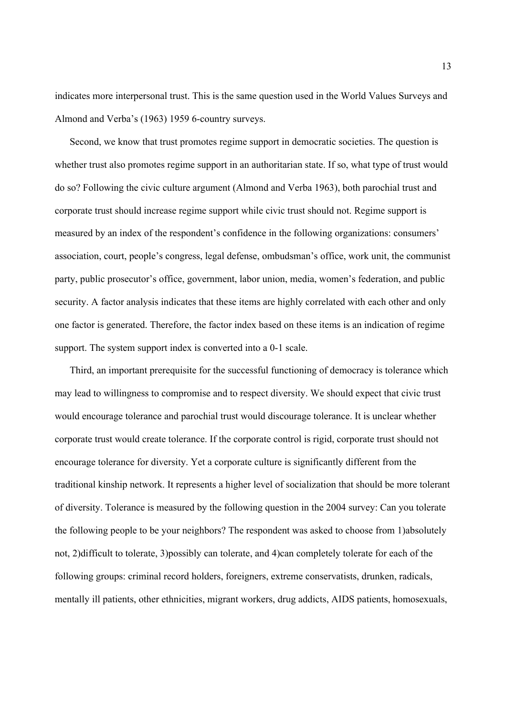indicates more interpersonal trust. This is the same question used in the World Values Surveys and Almond and Verba's (1963) 1959 6-country surveys.

Second, we know that trust promotes regime support in democratic societies. The question is whether trust also promotes regime support in an authoritarian state. If so, what type of trust would do so? Following the civic culture argument (Almond and Verba 1963), both parochial trust and corporate trust should increase regime support while civic trust should not. Regime support is measured by an index of the respondent's confidence in the following organizations: consumers' association, court, people's congress, legal defense, ombudsman's office, work unit, the communist party, public prosecutor's office, government, labor union, media, women's federation, and public security. A factor analysis indicates that these items are highly correlated with each other and only one factor is generated. Therefore, the factor index based on these items is an indication of regime support. The system support index is converted into a 0-1 scale.

Third, an important prerequisite for the successful functioning of democracy is tolerance which may lead to willingness to compromise and to respect diversity. We should expect that civic trust would encourage tolerance and parochial trust would discourage tolerance. It is unclear whether corporate trust would create tolerance. If the corporate control is rigid, corporate trust should not encourage tolerance for diversity. Yet a corporate culture is significantly different from the traditional kinship network. It represents a higher level of socialization that should be more tolerant of diversity. Tolerance is measured by the following question in the 2004 survey: Can you tolerate the following people to be your neighbors? The respondent was asked to choose from 1)absolutely not, 2)difficult to tolerate, 3)possibly can tolerate, and 4)can completely tolerate for each of the following groups: criminal record holders, foreigners, extreme conservatists, drunken, radicals, mentally ill patients, other ethnicities, migrant workers, drug addicts, AIDS patients, homosexuals,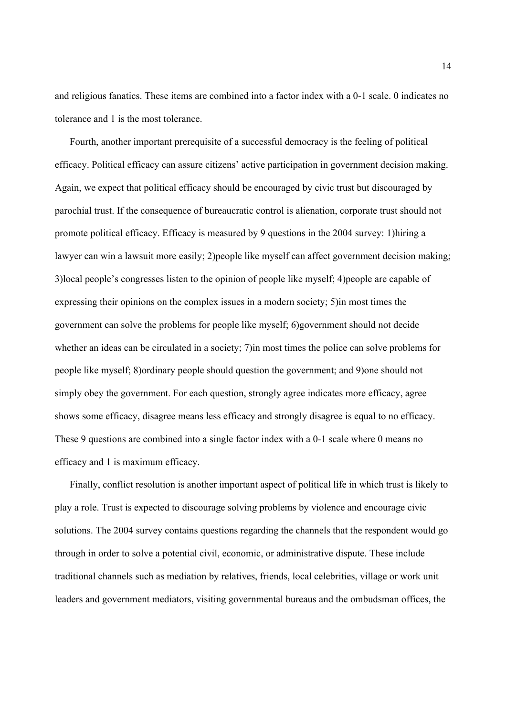and religious fanatics. These items are combined into a factor index with a 0-1 scale. 0 indicates no tolerance and 1 is the most tolerance.

Fourth, another important prerequisite of a successful democracy is the feeling of political efficacy. Political efficacy can assure citizens' active participation in government decision making. Again, we expect that political efficacy should be encouraged by civic trust but discouraged by parochial trust. If the consequence of bureaucratic control is alienation, corporate trust should not promote political efficacy. Efficacy is measured by 9 questions in the 2004 survey: 1)hiring a lawyer can win a lawsuit more easily; 2)people like myself can affect government decision making; 3)local people's congresses listen to the opinion of people like myself; 4)people are capable of expressing their opinions on the complex issues in a modern society; 5)in most times the government can solve the problems for people like myself; 6)government should not decide whether an ideas can be circulated in a society; 7)in most times the police can solve problems for people like myself; 8)ordinary people should question the government; and 9)one should not simply obey the government. For each question, strongly agree indicates more efficacy, agree shows some efficacy, disagree means less efficacy and strongly disagree is equal to no efficacy. These 9 questions are combined into a single factor index with a 0-1 scale where 0 means no efficacy and 1 is maximum efficacy.

Finally, conflict resolution is another important aspect of political life in which trust is likely to play a role. Trust is expected to discourage solving problems by violence and encourage civic solutions. The 2004 survey contains questions regarding the channels that the respondent would go through in order to solve a potential civil, economic, or administrative dispute. These include traditional channels such as mediation by relatives, friends, local celebrities, village or work unit leaders and government mediators, visiting governmental bureaus and the ombudsman offices, the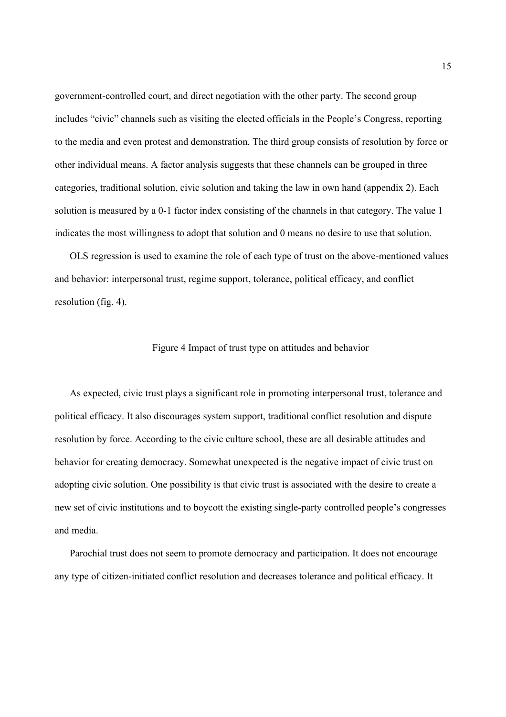government-controlled court, and direct negotiation with the other party. The second group includes "civic" channels such as visiting the elected officials in the People's Congress, reporting to the media and even protest and demonstration. The third group consists of resolution by force or other individual means. A factor analysis suggests that these channels can be grouped in three categories, traditional solution, civic solution and taking the law in own hand (appendix 2). Each solution is measured by a 0-1 factor index consisting of the channels in that category. The value 1 indicates the most willingness to adopt that solution and 0 means no desire to use that solution.

OLS regression is used to examine the role of each type of trust on the above-mentioned values and behavior: interpersonal trust, regime support, tolerance, political efficacy, and conflict resolution (fig. 4).

## Figure 4 Impact of trust type on attitudes and behavior

As expected, civic trust plays a significant role in promoting interpersonal trust, tolerance and political efficacy. It also discourages system support, traditional conflict resolution and dispute resolution by force. According to the civic culture school, these are all desirable attitudes and behavior for creating democracy. Somewhat unexpected is the negative impact of civic trust on adopting civic solution. One possibility is that civic trust is associated with the desire to create a new set of civic institutions and to boycott the existing single-party controlled people's congresses and media.

Parochial trust does not seem to promote democracy and participation. It does not encourage any type of citizen-initiated conflict resolution and decreases tolerance and political efficacy. It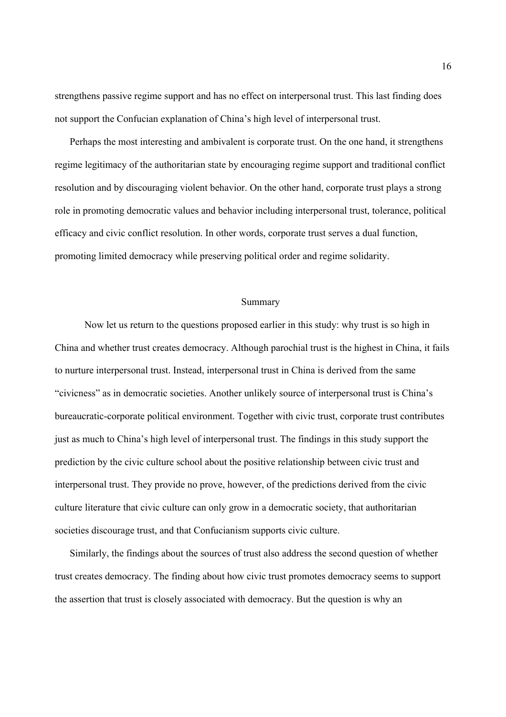strengthens passive regime support and has no effect on interpersonal trust. This last finding does not support the Confucian explanation of China's high level of interpersonal trust.

Perhaps the most interesting and ambivalent is corporate trust. On the one hand, it strengthens regime legitimacy of the authoritarian state by encouraging regime support and traditional conflict resolution and by discouraging violent behavior. On the other hand, corporate trust plays a strong role in promoting democratic values and behavior including interpersonal trust, tolerance, political efficacy and civic conflict resolution. In other words, corporate trust serves a dual function, promoting limited democracy while preserving political order and regime solidarity.

## Summary

 Now let us return to the questions proposed earlier in this study: why trust is so high in China and whether trust creates democracy. Although parochial trust is the highest in China, it fails to nurture interpersonal trust. Instead, interpersonal trust in China is derived from the same "civicness" as in democratic societies. Another unlikely source of interpersonal trust is China's bureaucratic-corporate political environment. Together with civic trust, corporate trust contributes just as much to China's high level of interpersonal trust. The findings in this study support the prediction by the civic culture school about the positive relationship between civic trust and interpersonal trust. They provide no prove, however, of the predictions derived from the civic culture literature that civic culture can only grow in a democratic society, that authoritarian societies discourage trust, and that Confucianism supports civic culture.

Similarly, the findings about the sources of trust also address the second question of whether trust creates democracy. The finding about how civic trust promotes democracy seems to support the assertion that trust is closely associated with democracy. But the question is why an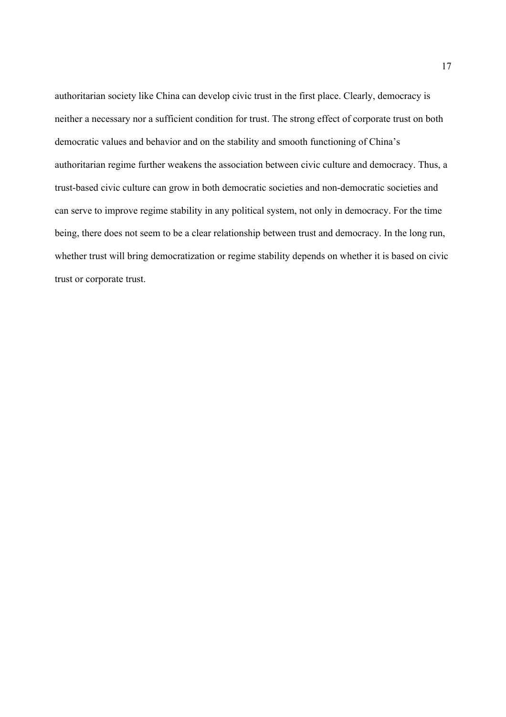authoritarian society like China can develop civic trust in the first place. Clearly, democracy is neither a necessary nor a sufficient condition for trust. The strong effect of corporate trust on both democratic values and behavior and on the stability and smooth functioning of China's authoritarian regime further weakens the association between civic culture and democracy. Thus, a trust-based civic culture can grow in both democratic societies and non-democratic societies and can serve to improve regime stability in any political system, not only in democracy. For the time being, there does not seem to be a clear relationship between trust and democracy. In the long run, whether trust will bring democratization or regime stability depends on whether it is based on civic trust or corporate trust.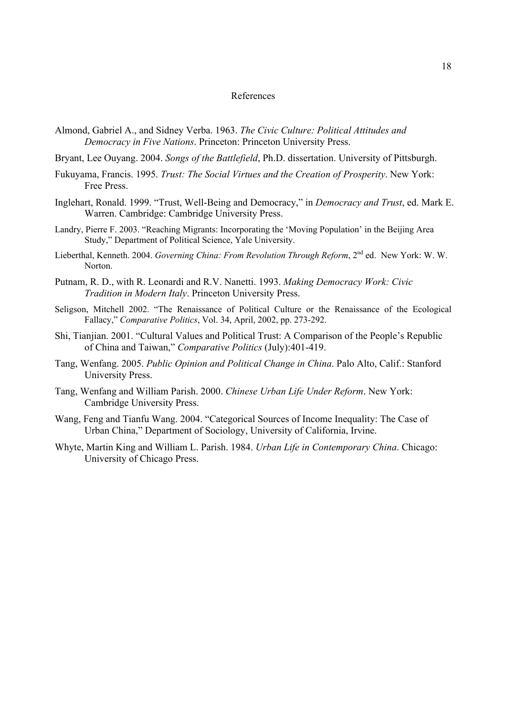### References

- Almond, Gabriel A., and Sidney Verba. 1963. *The Civic Culture: Political Attitudes and Democracy in Five Nations*. Princeton: Princeton University Press.
- Bryant, Lee Ouyang. 2004. *Songs of the Battlefield*, Ph.D. dissertation. University of Pittsburgh.
- Fukuyama, Francis. 1995. *Trust: The Social Virtues and the Creation of Prosperity*. New York: Free Press.
- Inglehart, Ronald. 1999. "Trust, Well-Being and Democracy," in *Democracy and Trust*, ed. Mark E. Warren. Cambridge: Cambridge University Press.
- Landry, Pierre F. 2003. "Reaching Migrants: Incorporating the 'Moving Population' in the Beijing Area Study," Department of Political Science, Yale University.
- Lieberthal, Kenneth. 2004. *Governing China: From Revolution Through Reform*, 2nd ed. New York: W. W. Norton.
- Putnam, R. D., with R. Leonardi and R.V. Nanetti. 1993. *Making Democracy Work: Civic Tradition in Modern Italy*. Princeton University Press.
- Seligson, Mitchell 2002. "The Renaissance of Political Culture or the Renaissance of the Ecological Fallacy," *Comparative Politics*, Vol. 34, April, 2002, pp. 273-292.
- Shi, Tianjian. 2001. "Cultural Values and Political Trust: A Comparison of the People's Republic of China and Taiwan," *Comparative Politics* (July):401-419.
- Tang, Wenfang. 2005. *Public Opinion and Political Change in China*. Palo Alto, Calif.: Stanford University Press.
- Tang, Wenfang and William Parish. 2000. *Chinese Urban Life Under Reform*. New York: Cambridge University Press.
- Wang, Feng and Tianfu Wang. 2004. "Categorical Sources of Income Inequality: The Case of Urban China," Department of Sociology, University of California, Irvine.
- Whyte, Martin King and William L. Parish. 1984. *Urban Life in Contemporary China*. Chicago: University of Chicago Press.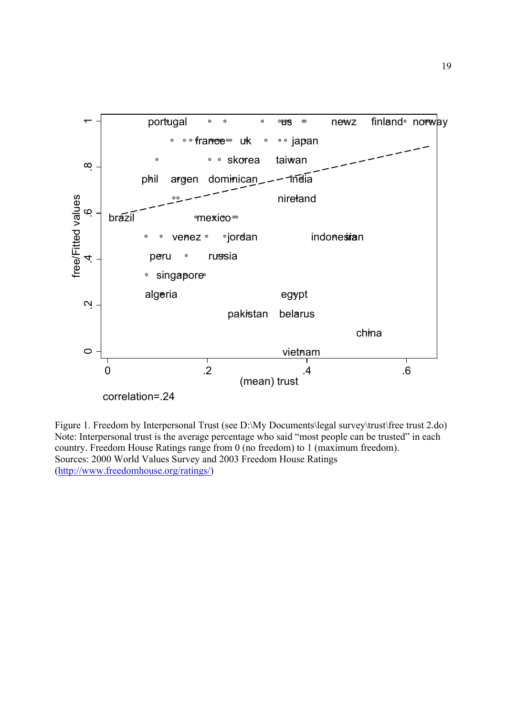

Figure 1. Freedom by Interpersonal Trust (see D:\My Documents\legal survey\trust\free trust 2.do) Note: Interpersonal trust is the average percentage who said "most people can be trusted" in each country. Freedom House Ratings range from 0 (no freedom) to 1 (maximum freedom). Sources: 2000 World Values Survey and 2003 Freedom House Ratings (http://www.freedomhouse.org/ratings/)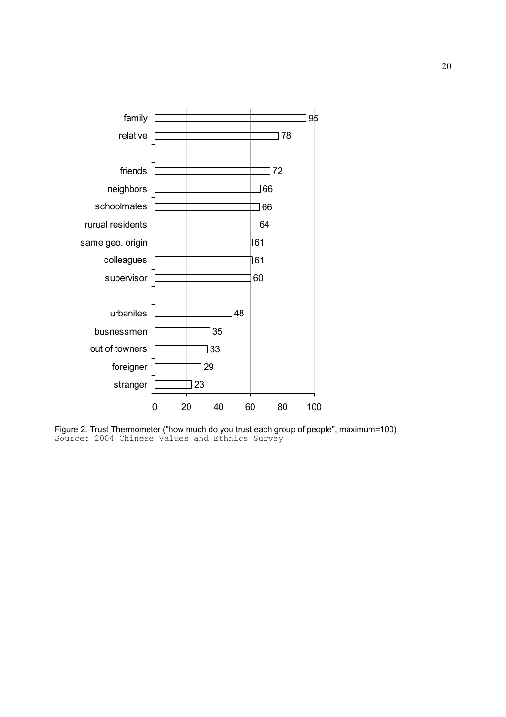

Figure 2. Trust Thermometer ("how much do you trust each group of people", maximum=100) Source: 2004 Chinese Values and Ethnics Survey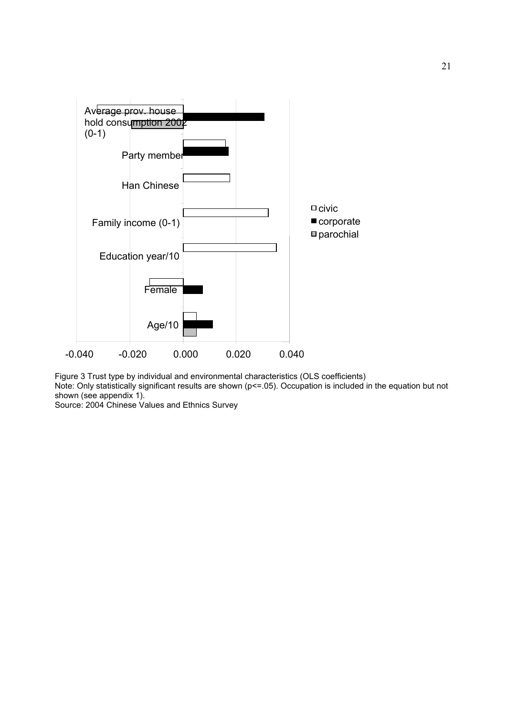

Figure 3 Trust type by individual and environmental characteristics (OLS coefficients) Note: Only statistically significant results are shown (p<=.05). Occupation is included in the equation but not shown (see appendix 1).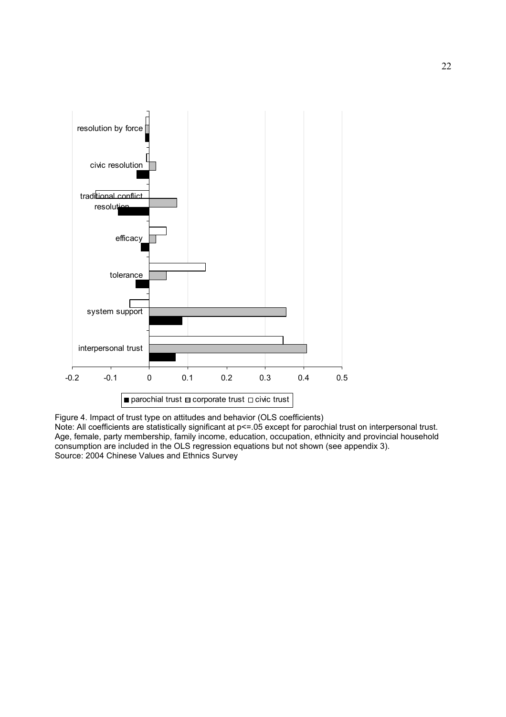

Figure 4. Impact of trust type on attitudes and behavior (OLS coefficients) Note: All coefficients are statistically significant at p<=.05 except for parochial trust on interpersonal trust. Age, female, party membership, family income, education, occupation, ethnicity and provincial household consumption are included in the OLS regression equations but not shown (see appendix 3). Source: 2004 Chinese Values and Ethnics Survey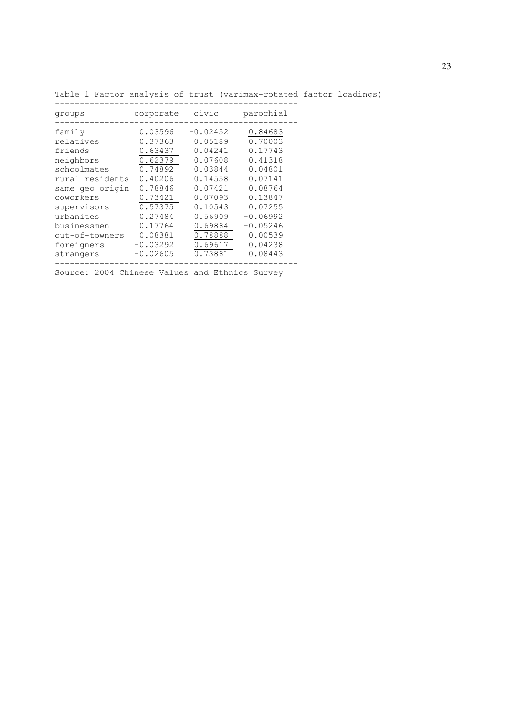|  |  |  |  |  |  |  |  | Table 1 Factor analysis of trust (varimax-rotated factor loadings) |
|--|--|--|--|--|--|--|--|--------------------------------------------------------------------|
|--|--|--|--|--|--|--|--|--------------------------------------------------------------------|

| groups          | corporate  | civic      | parochial  |
|-----------------|------------|------------|------------|
| family          | 0.03596    | $-0.02452$ | 0.84683    |
| relatives       | 0.37363    | 0.05189    | 0.70003    |
| friends         | 0.63437    | 0.04241    | 0.17743    |
| neighbors       | 0.62379    | 0.07608    | 0.41318    |
| schoolmates     | 0.74892    | 0.03844    | 0.04801    |
| rural residents | 0.40206    | 0.14558    | 0.07141    |
| same qeo origin | 0.78846    | 0.07421    | 0.08764    |
| coworkers       | 0.73421    | 0.07093    | 0.13847    |
| supervisors     | 0.57375    | 0.10543    | 0.07255    |
| urbanites       | 0.27484    | 0.56909    | $-0.06992$ |
| businessmen     | 0.17764    | 0.69884    | $-0.05246$ |
| out-of-towners  | 0.08381    | 0.78888    | 0.00539    |
| foreigners      | $-0.03292$ | 0.69617    | 0.04238    |
| strangers       | $-0.02605$ | 0.73881    | 0.08443    |
|                 |            |            |            |

-------------------------------------------------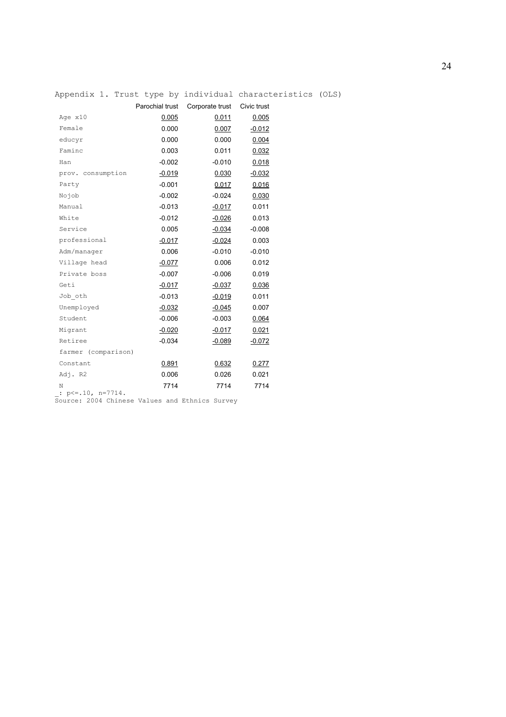|                     |                 |                 | Appendix 1. Trust type by individual characteristics (OLS) |  |
|---------------------|-----------------|-----------------|------------------------------------------------------------|--|
|                     | Parochial trust | Corporate trust | Civic trust                                                |  |
| Age x10             | 0.005           | 0.011           | 0.005                                                      |  |
| Female              | 0.000           | 0.007           | $-0.012$                                                   |  |
| educyr              | 0.000           | 0.000           | 0.004                                                      |  |
| Faminc              | 0.003           | 0.011           | 0.032                                                      |  |
| Han                 | $-0.002$        | $-0.010$        | 0.018                                                      |  |
| prov. consumption   | $-0.019$        | 0.030           | $-0.032$                                                   |  |
| Party               | $-0.001$        | 0.017           | 0.016                                                      |  |
| Nojob               | $-0.002$        | $-0.024$        | 0.030                                                      |  |
| Manual              | $-0.013$        | $-0.017$        | 0.011                                                      |  |
| White               | $-0.012$        | $-0.026$        | 0.013                                                      |  |
| Service             | 0.005           | $-0.034$        | $-0.008$                                                   |  |
| professional        | $-0.017$        | $-0.024$        | 0.003                                                      |  |
| Adm/manager         | 0.006           | $-0.010$        | $-0.010$                                                   |  |
| Village head        | $-0.077$        | 0.006           | 0.012                                                      |  |
| Private boss        | $-0.007$        | $-0.006$        | 0.019                                                      |  |
| Geti                | $-0.017$        | $-0.037$        | 0.036                                                      |  |
| Job oth             | $-0.013$        | $-0.019$        | 0.011                                                      |  |
| Unemployed          | $-0.032$        | $-0.045$        | 0.007                                                      |  |
| Student             | $-0.006$        | $-0.003$        | 0.064                                                      |  |
| Migrant             | $-0.020$        | $-0.017$        | 0.021                                                      |  |
| Retiree             | $-0.034$        | $-0.089$        | $-0.072$                                                   |  |
| farmer (comparison) |                 |                 |                                                            |  |
| Constant            | 0.891           | 0.632           | 0.277                                                      |  |
| Adj. R2             | 0.006           | 0.026           | 0.021                                                      |  |
| Ν                   | 7714            | 7714            | 7714                                                       |  |

\_: p<=.10, n=7714.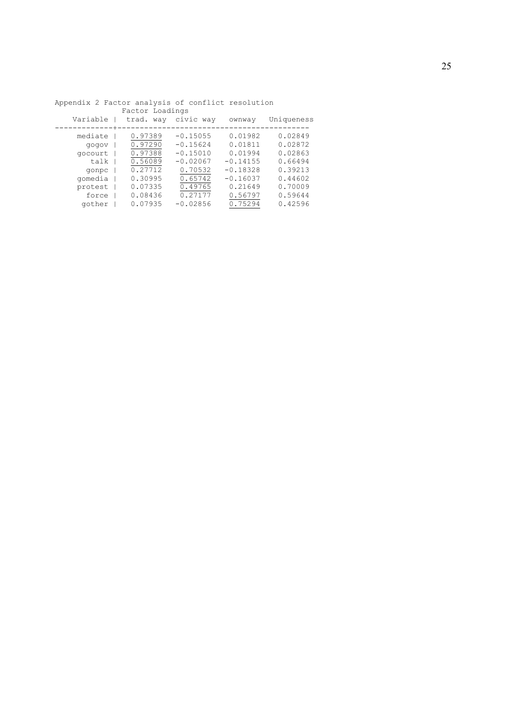|          | Factor Loadings |            |            |            |
|----------|-----------------|------------|------------|------------|
| Variable | trad. way       | civic way  | ownway     | Uniqueness |
|          |                 |            |            |            |
| mediate  | 0.97389         | $-0.15055$ | 0.01982    | 0.02849    |
| vopop    | 0.97290         | $-0.15624$ | 0.01811    | 0.02872    |
| qocourt  | 0.97388         | $-0.15010$ | 0.01994    | 0.02863    |
| talk     | 0.56089         | $-0.02067$ | $-0.14155$ | 0.66494    |
| gonpc    | 0.27712         | 0.70532    | $-0.18328$ | 0.39213    |
| gomedia  | 0.30995         | 0.65742    | $-0.16037$ | 0.44602    |
| protest  | 0.07335         | 0.49765    | 0.21649    | 0.70009    |
| force    | 0.08436         | 0.27177    | 0.56797    | 0.59644    |
| gother   | 0.07935         | $-0.02856$ | 0.75294    | 0.42596    |
|          |                 |            |            |            |

Appendix 2 Factor analysis of conflict resolution Factor Loadings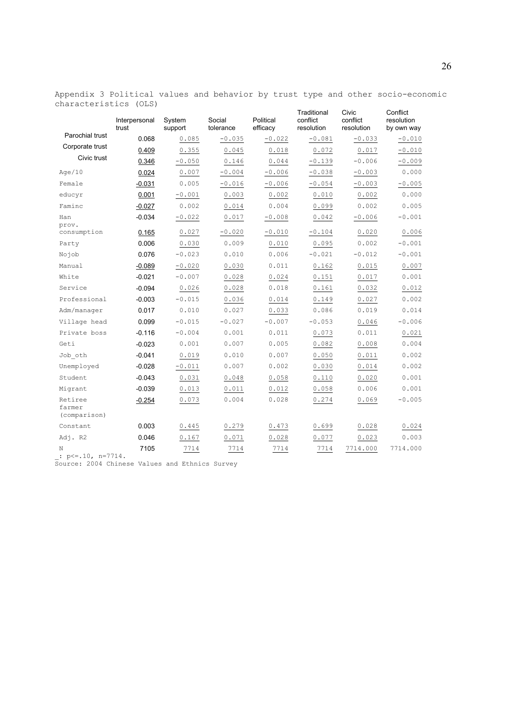Appendix 3 Political values and behavior by trust type and other socio-economic characteristics (OLS)

|                                   | Interpersonal<br>trust | System<br>support | Social<br>tolerance | Political<br>efficacy | Traditional<br>conflict<br>resolution | Civic<br>conflict<br>resolution | Conflict<br>resolution<br>by own way |
|-----------------------------------|------------------------|-------------------|---------------------|-----------------------|---------------------------------------|---------------------------------|--------------------------------------|
| Parochial trust                   | 0.068                  | 0.085             | $-0.035$            | $-0.022$              | $-0.081$                              | $-0.033$                        | $-0.010$                             |
| Corporate trust                   | 0.409                  | 0.355             | 0.045               | 0.018                 | 0.072                                 | 0.017                           | $-0.010$                             |
| Civic trust                       | 0.346                  | $-0.050$          | 0.146               | 0.044                 | $-0.139$                              | $-0.006$                        | $-0.009$                             |
| Aqe/10                            | 0.024                  | 0.007             | $-0.004$            | $-0.006$              | $-0.038$                              | $-0.003$                        | 0.000                                |
| Female                            | $-0.031$               | 0.005             | $-0.016$            | $-0.006$              | $-0.054$                              | $-0.003$                        | $-0.005$                             |
| educyr                            | 0.001                  | $-0.001$          | 0.003               | 0.002                 | 0.010                                 | 0.002                           | 0.000                                |
| Faminc                            | $-0.027$               | 0.002             | 0.014               | 0.004                 | 0.099                                 | 0.002                           | 0.005                                |
| Han<br>prov.                      | $-0.034$               | $-0.022$          | 0.017               | $-0.008$              | 0.042                                 | $-0.006$                        | $-0.001$                             |
| consumption                       | 0.165                  | 0.027             | $-0.020$            | $-0.010$              | $-0.104$                              | 0.020                           | 0.006                                |
| Party                             | 0.006                  | 0.030             | 0.009               | 0.010                 | 0.095                                 | 0.002                           | $-0.001$                             |
| Nojob                             | 0.076                  | $-0.023$          | 0.010               | 0.006                 | $-0.021$                              | $-0.012$                        | $-0.001$                             |
| Manual                            | $-0.089$               | $-0.020$          | 0.030               | 0.011                 | 0.162                                 | 0.015                           | 0.007                                |
| White                             | $-0.021$               | $-0.007$          | 0.028               | 0.024                 | 0.151                                 | 0.017                           | 0.001                                |
| Service                           | $-0.094$               | 0.026             | 0.028               | 0.018                 | 0.161                                 | 0.032                           | 0.012                                |
| Professional                      | $-0.003$               | $-0.015$          | 0.036               | 0.014                 | 0.149                                 | 0.027                           | 0.002                                |
| Adm/manager                       | 0.017                  | 0.010             | 0.027               | 0.033                 | 0.086                                 | 0.019                           | 0.014                                |
| Village head                      | 0.099                  | $-0.015$          | $-0.027$            | $-0.007$              | $-0.053$                              | 0.046                           | $-0.006$                             |
| Private boss                      | $-0.116$               | $-0.004$          | 0.001               | 0.011                 | 0.073                                 | 0.011                           | 0.021                                |
| Geti                              | $-0.023$               | 0.001             | 0.007               | 0.005                 | 0.082                                 | 0.008                           | 0.004                                |
| Job oth                           | $-0.041$               | 0.019             | 0.010               | 0.007                 | 0.050                                 | 0.011                           | 0.002                                |
| Unemployed                        | $-0.028$               | $-0.011$          | 0.007               | 0.002                 | 0.030                                 | 0.014                           | 0.002                                |
| Student                           | $-0.043$               | 0.031             | 0.048               | 0.058                 | 0.110                                 | 0.020                           | 0.001                                |
| Migrant                           | $-0.039$               | 0.013             | 0.011               | 0.012                 | 0.058                                 | 0.006                           | 0.001                                |
| Retiree<br>farmer<br>(comparison) | $-0.254$               | 0.073             | 0.004               | 0.028                 | 0.274                                 | 0.069                           | $-0.005$                             |
| Constant                          | 0.003                  | 0.445             | 0.279               | 0.473                 | 0.699                                 | 0.028                           | 0.024                                |
| Adj. R2                           | 0.046                  | 0.167             | 0.071               | 0.028                 | 0.077                                 | 0.023                           | 0.003                                |
| N<br>: $p \le 10$ , $n = 7714$ .  | 7105                   | 7714              | 7714                | 7714                  | 7714                                  | 7714.000                        | 7714.000                             |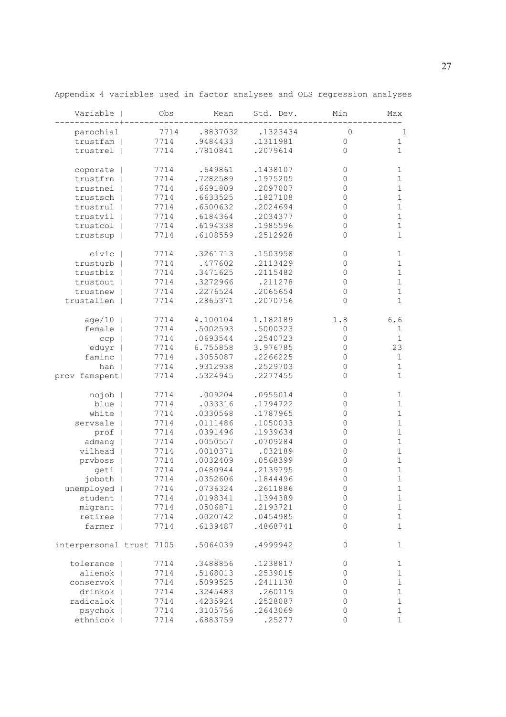| Variable                 | Obs  | Mean     | Std. Dev. | Min         | Max         |
|--------------------------|------|----------|-----------|-------------|-------------|
| parochial                | 7714 | .8837032 | .1323434  | $\mathbf 0$ | 1           |
| trustfam                 | 7714 | .9484433 | .1311981  | 0           | 1           |
| trustrel                 | 7714 | .7810841 | .2079614  | $\Omega$    | 1           |
|                          |      |          |           |             |             |
| coporate                 | 7714 | .649861  | .1438107  | 0           | 1           |
| trustfrn                 | 7714 | .7282589 | .1975205  | 0           | 1           |
| trustnei                 | 7714 | .6691809 | .2097007  | 0           | 1           |
| trustsch                 | 7714 | .6633525 | .1827108  | 0           | $\mathbf 1$ |
| trustrul                 | 7714 | .6500632 | .2024694  | 0           | 1           |
| trustvil                 | 7714 | .6184364 | .2034377  | $\mathbf 0$ | $\mathbf 1$ |
| trustcol                 | 7714 | .6194338 | .1985596  | $\mathbf 0$ | $\mathbf 1$ |
| trustsup                 | 7714 | .6108559 | .2512928  | 0           | 1           |
| civic                    | 7714 | .3261713 | .1503958  | 0           | 1           |
| trusturb                 | 7714 | .477602  | .2113429  | 0           | 1           |
| trustbiz                 | 7714 | .3471625 | .2115482  | $\mathbf 0$ | 1           |
| trustout                 | 7714 | .3272966 | .211278   | $\mathbf 0$ | $\mathbf 1$ |
| trustnew                 | 7714 | .2276524 | .2065654  | 0           | 1           |
| trustalien               | 7714 | .2865371 | .2070756  | $\Omega$    | $\mathbf 1$ |
|                          |      |          |           |             |             |
| age/10                   | 7714 | 4.100104 | 1.182189  | 1.8         | 6.6         |
| female                   | 7714 | .5002593 | .5000323  | 0           | 1           |
| ccp                      | 7714 | .0693544 | .2540723  | $\mathbf 0$ | $\mathbf 1$ |
| eduyr                    | 7714 | 6.755858 | 3.976785  | 0           | 23          |
| faminc                   | 7714 | .3055087 | .2266225  | 0           | 1           |
| han                      | 7714 | .9312938 | .2529703  | $\Omega$    | 1           |
| prov famspent            | 7714 | .5324945 | .2277455  | $\Omega$    | 1           |
|                          | 7714 | .009204  | .0955014  | 0           | 1           |
| nojob<br>blue            | 7714 | .033316  | .1794722  | 0           | 1           |
| white                    | 7714 | .0330568 | .1787965  | 0           | 1           |
| servsale                 |      | .0111486 | .1050033  | 0           | $\mathbf 1$ |
|                          | 7714 |          | .1939634  | 0           |             |
| prof                     | 7714 | .0391496 |           |             | 1           |
| admang                   | 7714 | .0050557 | .0709284  | 0           | 1           |
| vilhead                  | 7714 | .0010371 | .032189   | $\mathbf 0$ | $\mathbf 1$ |
| prvboss                  | 7714 | .0032409 | .0568399  | 0           | 1           |
| geti                     | 7714 | .0480944 | .2139795  | 0           | 1           |
| joboth                   | 7714 | .0352606 | .1844496  | $\Omega$    | 1           |
| unemployed               | 7714 | .0736324 | .2611886  | 0           | 1           |
| student                  | 7714 | .0198341 | .1394389  | $\mathbf 0$ | 1           |
| migrant                  | 7714 | .0506871 | .2193721  | $\mathbb O$ | $\mathbf 1$ |
| retiree                  | 7714 | .0020742 | .0454985  | $\mathbf 0$ | 1           |
| farmer                   | 7714 | .6139487 | .4868741  | $\Omega$    | 1           |
| interpersonal trust 7105 |      | .5064039 | .4999942  | $\mathbf 0$ | 1           |
| tolerance                | 7714 | .3488856 | .1238817  | 0           | 1           |
| alienok                  | 7714 | .5168013 | .2539015  | $\mathbf 0$ | 1           |
| conservok                | 7714 | .5099525 | .2411138  | 0           | 1           |
| drinkok                  | 7714 | .3245483 | .260119   | $\mathbf 0$ | 1           |
| radicalok                | 7714 | .4235924 | .2528087  | 0           | 1           |
| psychok                  | 7714 | .3105756 | .2643069  | 0           | 1           |
| ethnicok                 | 7714 | .6883759 | .25277    | 0           | 1           |

Appendix 4 variables used in factor analyses and OLS regression analyses